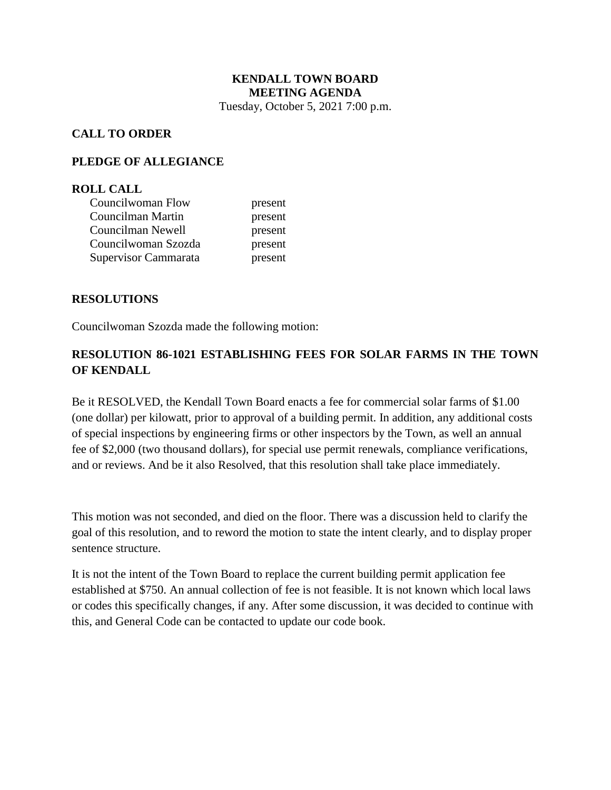#### **KENDALL TOWN BOARD MEETING AGENDA** Tuesday, October 5, 2021 7:00 p.m.

## **CALL TO ORDER**

#### **PLEDGE OF ALLEGIANCE**

#### **ROLL CALL**

| Councilwoman Flow    | present |
|----------------------|---------|
| Councilman Martin    | present |
| Councilman Newell    | present |
| Councilwoman Szozda  | present |
| Supervisor Cammarata | present |

#### **RESOLUTIONS**

Councilwoman Szozda made the following motion:

# **RESOLUTION 86-1021 ESTABLISHING FEES FOR SOLAR FARMS IN THE TOWN OF KENDALL**

Be it RESOLVED, the Kendall Town Board enacts a fee for commercial solar farms of \$1.00 (one dollar) per kilowatt, prior to approval of a building permit. In addition, any additional costs of special inspections by engineering firms or other inspectors by the Town, as well an annual fee of \$2,000 (two thousand dollars), for special use permit renewals, compliance verifications, and or reviews. And be it also Resolved, that this resolution shall take place immediately.

This motion was not seconded, and died on the floor. There was a discussion held to clarify the goal of this resolution, and to reword the motion to state the intent clearly, and to display proper sentence structure.

It is not the intent of the Town Board to replace the current building permit application fee established at \$750. An annual collection of fee is not feasible. It is not known which local laws or codes this specifically changes, if any. After some discussion, it was decided to continue with this, and General Code can be contacted to update our code book.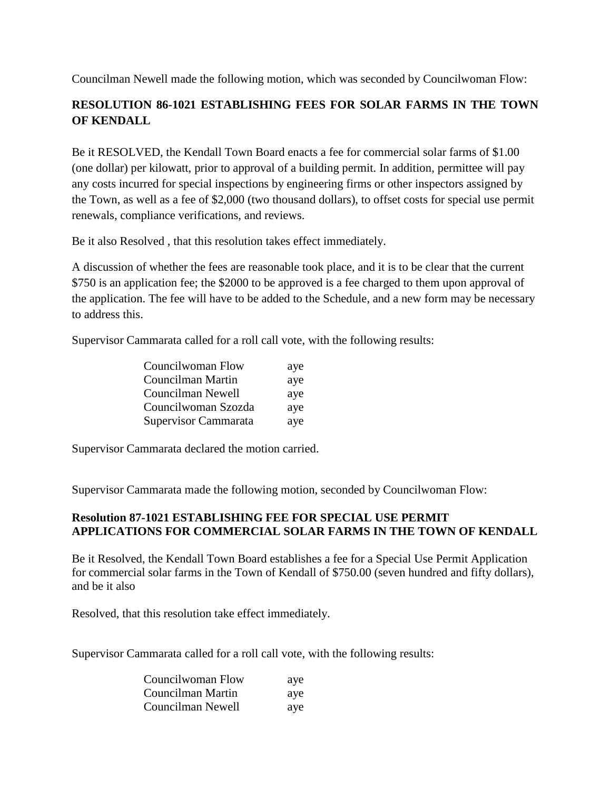Councilman Newell made the following motion, which was seconded by Councilwoman Flow:

# **RESOLUTION 86-1021 ESTABLISHING FEES FOR SOLAR FARMS IN THE TOWN OF KENDALL**

Be it RESOLVED, the Kendall Town Board enacts a fee for commercial solar farms of \$1.00 (one dollar) per kilowatt, prior to approval of a building permit. In addition, permittee will pay any costs incurred for special inspections by engineering firms or other inspectors assigned by the Town, as well as a fee of \$2,000 (two thousand dollars), to offset costs for special use permit renewals, compliance verifications, and reviews.

Be it also Resolved , that this resolution takes effect immediately.

A discussion of whether the fees are reasonable took place, and it is to be clear that the current \$750 is an application fee; the \$2000 to be approved is a fee charged to them upon approval of the application. The fee will have to be added to the Schedule, and a new form may be necessary to address this.

Supervisor Cammarata called for a roll call vote, with the following results:

| Councilwoman Flow    | aye |
|----------------------|-----|
| Councilman Martin    | aye |
| Councilman Newell    | aye |
| Councilwoman Szozda  | aye |
| Supervisor Cammarata | aye |

Supervisor Cammarata declared the motion carried.

Supervisor Cammarata made the following motion, seconded by Councilwoman Flow:

## **Resolution 87-1021 ESTABLISHING FEE FOR SPECIAL USE PERMIT APPLICATIONS FOR COMMERCIAL SOLAR FARMS IN THE TOWN OF KENDALL**

Be it Resolved, the Kendall Town Board establishes a fee for a Special Use Permit Application for commercial solar farms in the Town of Kendall of \$750.00 (seven hundred and fifty dollars), and be it also

Resolved, that this resolution take effect immediately.

Supervisor Cammarata called for a roll call vote, with the following results:

| Councilwoman Flow | aye |
|-------------------|-----|
| Councilman Martin | aye |
| Councilman Newell | aye |